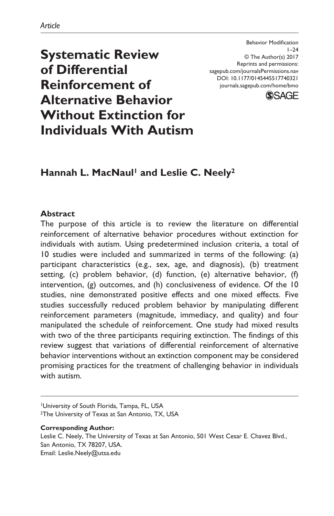DOI: 10.1177/0145445517740321 Behavior Modification  $1 - 24$ © The Author(s) 2017 Reprints and permissions: [sagepub.com/journalsPermissions.nav](https://us.sagepub.com/en-us/journals-permissions) [journals.sagepub.com/home/bmo](https://journals.sagepub.com/home/bmo)



## Hannah L. MacNaul<sup>1</sup> and Leslie C. Neely<sup>2</sup>

#### **Abstract**

The purpose of this article is to review the literature on differential reinforcement of alternative behavior procedures without extinction for individuals with autism. Using predetermined inclusion criteria, a total of 10 studies were included and summarized in terms of the following: (a) participant characteristics (e.g., sex, age, and diagnosis), (b) treatment setting, (c) problem behavior, (d) function, (e) alternative behavior, (f) intervention, (g) outcomes, and (h) conclusiveness of evidence. Of the 10 studies, nine demonstrated positive effects and one mixed effects. Five studies successfully reduced problem behavior by manipulating different reinforcement parameters (magnitude, immediacy, and quality) and four manipulated the schedule of reinforcement. One study had mixed results with two of the three participants requiring extinction. The findings of this review suggest that variations of differential reinforcement of alternative behavior interventions without an extinction component may be considered promising practices for the treatment of challenging behavior in individuals with autism.

#### **Corresponding Author:**

Leslie C. Neely, The University of Texas at San Antonio, 501 West Cesar E. Chavez Blvd., San Antonio, TX 78207, USA. Email: [Leslie.Neely@utsa.edu](mailto:Leslie.Neely@utsa.edu)

<sup>1</sup>University of South Florida, Tampa, FL, USA 2The University of Texas at San Antonio, TX, USA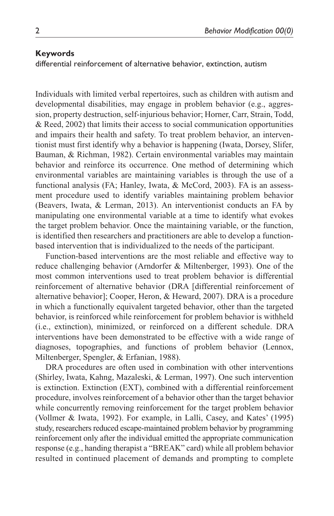#### **Keywords**

differential reinforcement of alternative behavior, extinction, autism

Individuals with limited verbal repertoires, such as children with autism and developmental disabilities, may engage in problem behavior (e.g., aggression, property destruction, self-injurious behavior; Horner, Carr, Strain, Todd, & Reed, 2002) that limits their access to social communication opportunities and impairs their health and safety. To treat problem behavior, an interventionist must first identify why a behavior is happening (Iwata, Dorsey, Slifer, Bauman, & Richman, 1982). Certain environmental variables may maintain behavior and reinforce its occurrence. One method of determining which environmental variables are maintaining variables is through the use of a functional analysis (FA; Hanley, Iwata, & McCord, 2003). FA is an assessment procedure used to identify variables maintaining problem behavior (Beavers, Iwata, & Lerman, 2013). An interventionist conducts an FA by manipulating one environmental variable at a time to identify what evokes the target problem behavior. Once the maintaining variable, or the function, is identified then researchers and practitioners are able to develop a functionbased intervention that is individualized to the needs of the participant.

Function-based interventions are the most reliable and effective way to reduce challenging behavior (Arndorfer & Miltenberger, 1993). One of the most common interventions used to treat problem behavior is differential reinforcement of alternative behavior (DRA [differential reinforcement of alternative behavior]; Cooper, Heron, & Heward, 2007). DRA is a procedure in which a functionally equivalent targeted behavior, other than the targeted behavior, is reinforced while reinforcement for problem behavior is withheld (i.e., extinction), minimized, or reinforced on a different schedule. DRA interventions have been demonstrated to be effective with a wide range of diagnoses, topographies, and functions of problem behavior (Lennox, Miltenberger, Spengler, & Erfanian, 1988).

DRA procedures are often used in combination with other interventions (Shirley, Iwata, Kahng, Mazaleski, & Lerman, 1997). One such intervention is extinction. Extinction (EXT), combined with a differential reinforcement procedure, involves reinforcement of a behavior other than the target behavior while concurrently removing reinforcement for the target problem behavior (Vollmer & Iwata, 1992). For example, in Lalli, Casey, and Kates' (1995) study, researchers reduced escape-maintained problem behavior by programming reinforcement only after the individual emitted the appropriate communication response (e.g., handing therapist a "BREAK" card) while all problem behavior resulted in continued placement of demands and prompting to complete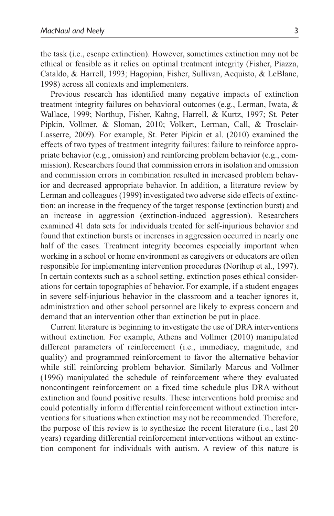the task (i.e., escape extinction). However, sometimes extinction may not be ethical or feasible as it relies on optimal treatment integrity (Fisher, Piazza, Cataldo, & Harrell, 1993; Hagopian, Fisher, Sullivan, Acquisto, & LeBlanc, 1998) across all contexts and implementers.

Previous research has identified many negative impacts of extinction treatment integrity failures on behavioral outcomes (e.g., Lerman, Iwata, & Wallace, 1999; Northup, Fisher, Kahng, Harrell, & Kurtz, 1997; St. Peter Pipkin, Vollmer, & Sloman, 2010; Volkert, Lerman, Call, & Trosclair-Lasserre, 2009). For example, St. Peter Pipkin et al. (2010) examined the effects of two types of treatment integrity failures: failure to reinforce appropriate behavior (e.g., omission) and reinforcing problem behavior (e.g., commission). Researchers found that commission errors in isolation and omission and commission errors in combination resulted in increased problem behavior and decreased appropriate behavior. In addition, a literature review by Lerman and colleagues (1999) investigated two adverse side effects of extinction: an increase in the frequency of the target response (extinction burst) and an increase in aggression (extinction-induced aggression). Researchers examined 41 data sets for individuals treated for self-injurious behavior and found that extinction bursts or increases in aggression occurred in nearly one half of the cases. Treatment integrity becomes especially important when working in a school or home environment as caregivers or educators are often responsible for implementing intervention procedures (Northup et al., 1997). In certain contexts such as a school setting, extinction poses ethical considerations for certain topographies of behavior. For example, if a student engages in severe self-injurious behavior in the classroom and a teacher ignores it, administration and other school personnel are likely to express concern and demand that an intervention other than extinction be put in place.

Current literature is beginning to investigate the use of DRA interventions without extinction. For example, Athens and Vollmer (2010) manipulated different parameters of reinforcement (i.e., immediacy, magnitude, and quality) and programmed reinforcement to favor the alternative behavior while still reinforcing problem behavior. Similarly Marcus and Vollmer (1996) manipulated the schedule of reinforcement where they evaluated noncontingent reinforcement on a fixed time schedule plus DRA without extinction and found positive results. These interventions hold promise and could potentially inform differential reinforcement without extinction interventions for situations when extinction may not be recommended. Therefore, the purpose of this review is to synthesize the recent literature (i.e., last 20 years) regarding differential reinforcement interventions without an extinction component for individuals with autism. A review of this nature is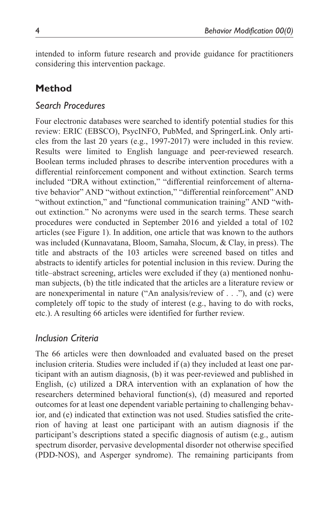intended to inform future research and provide guidance for practitioners considering this intervention package.

# **Method**

#### *Search Procedures*

Four electronic databases were searched to identify potential studies for this review: ERIC (EBSCO), PsycINFO, PubMed, and SpringerLink. Only articles from the last 20 years (e.g., 1997-2017) were included in this review. Results were limited to English language and peer-reviewed research. Boolean terms included phrases to describe intervention procedures with a differential reinforcement component and without extinction. Search terms included "DRA without extinction," "differential reinforcement of alternative behavior" AND "without extinction," "differential reinforcement" AND "without extinction," and "functional communication training" AND "without extinction." No acronyms were used in the search terms. These search procedures were conducted in September 2016 and yielded a total of 102 articles (see Figure 1). In addition, one article that was known to the authors was included (Kunnavatana, Bloom, Samaha, Slocum, & Clay, in press). The title and abstracts of the 103 articles were screened based on titles and abstracts to identify articles for potential inclusion in this review. During the title–abstract screening, articles were excluded if they (a) mentioned nonhuman subjects, (b) the title indicated that the articles are a literature review or are nonexperimental in nature ("An analysis/review of . . ."), and (c) were completely off topic to the study of interest (e.g., having to do with rocks, etc.). A resulting 66 articles were identified for further review.

#### *Inclusion Criteria*

The 66 articles were then downloaded and evaluated based on the preset inclusion criteria. Studies were included if (a) they included at least one participant with an autism diagnosis, (b) it was peer-reviewed and published in English, (c) utilized a DRA intervention with an explanation of how the researchers determined behavioral function(s), (d) measured and reported outcomes for at least one dependent variable pertaining to challenging behavior, and (e) indicated that extinction was not used. Studies satisfied the criterion of having at least one participant with an autism diagnosis if the participant's descriptions stated a specific diagnosis of autism (e.g., autism spectrum disorder, pervasive developmental disorder not otherwise specified (PDD-NOS), and Asperger syndrome). The remaining participants from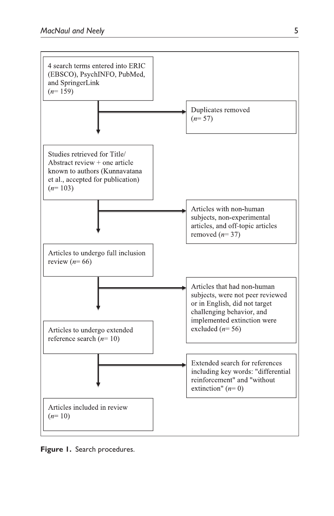

**Figure 1.** Search procedures.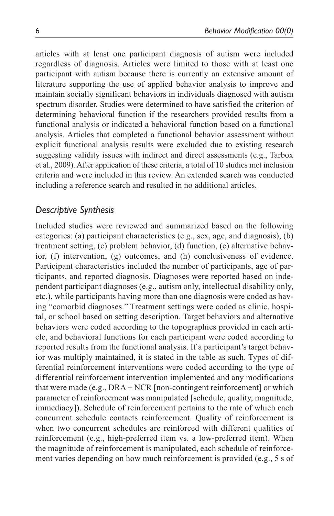articles with at least one participant diagnosis of autism were included regardless of diagnosis. Articles were limited to those with at least one participant with autism because there is currently an extensive amount of literature supporting the use of applied behavior analysis to improve and maintain socially significant behaviors in individuals diagnosed with autism spectrum disorder. Studies were determined to have satisfied the criterion of determining behavioral function if the researchers provided results from a functional analysis or indicated a behavioral function based on a functional analysis. Articles that completed a functional behavior assessment without explicit functional analysis results were excluded due to existing research suggesting validity issues with indirect and direct assessments (e.g., Tarbox et al., 2009). After application of these criteria, a total of 10 studies met inclusion criteria and were included in this review. An extended search was conducted including a reference search and resulted in no additional articles.

#### *Descriptive Synthesis*

Included studies were reviewed and summarized based on the following categories: (a) participant characteristics (e.g., sex, age, and diagnosis), (b) treatment setting, (c) problem behavior, (d) function, (e) alternative behavior, (f) intervention, (g) outcomes, and (h) conclusiveness of evidence. Participant characteristics included the number of participants, age of participants, and reported diagnosis. Diagnoses were reported based on independent participant diagnoses (e.g., autism only, intellectual disability only, etc.), while participants having more than one diagnosis were coded as having "comorbid diagnoses." Treatment settings were coded as clinic, hospital, or school based on setting description. Target behaviors and alternative behaviors were coded according to the topographies provided in each article, and behavioral functions for each participant were coded according to reported results from the functional analysis. If a participant's target behavior was multiply maintained, it is stated in the table as such. Types of differential reinforcement interventions were coded according to the type of differential reinforcement intervention implemented and any modifications that were made (e.g., DRA + NCR [non-contingent reinforcement] or which parameter of reinforcement was manipulated [schedule, quality, magnitude, immediacy]). Schedule of reinforcement pertains to the rate of which each concurrent schedule contacts reinforcement. Quality of reinforcement is when two concurrent schedules are reinforced with different qualities of reinforcement (e.g., high-preferred item vs. a low-preferred item). When the magnitude of reinforcement is manipulated, each schedule of reinforcement varies depending on how much reinforcement is provided (e.g., 5 s of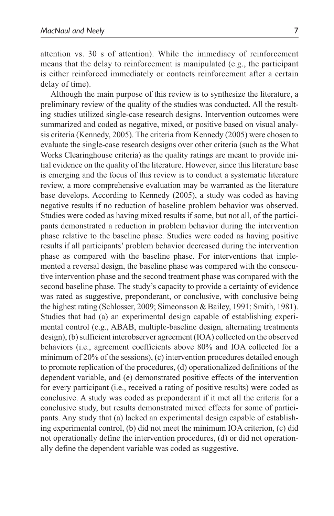attention vs. 30 s of attention). While the immediacy of reinforcement means that the delay to reinforcement is manipulated (e.g., the participant is either reinforced immediately or contacts reinforcement after a certain delay of time).

Although the main purpose of this review is to synthesize the literature, a preliminary review of the quality of the studies was conducted. All the resulting studies utilized single-case research designs. Intervention outcomes were summarized and coded as negative, mixed, or positive based on visual analysis criteria (Kennedy, 2005). The criteria from Kennedy (2005) were chosen to evaluate the single-case research designs over other criteria (such as the What Works Clearinghouse criteria) as the quality ratings are meant to provide initial evidence on the quality of the literature. However, since this literature base is emerging and the focus of this review is to conduct a systematic literature review, a more comprehensive evaluation may be warranted as the literature base develops. According to Kennedy (2005), a study was coded as having negative results if no reduction of baseline problem behavior was observed. Studies were coded as having mixed results if some, but not all, of the participants demonstrated a reduction in problem behavior during the intervention phase relative to the baseline phase. Studies were coded as having positive results if all participants' problem behavior decreased during the intervention phase as compared with the baseline phase. For interventions that implemented a reversal design, the baseline phase was compared with the consecutive intervention phase and the second treatment phase was compared with the second baseline phase. The study's capacity to provide a certainty of evidence was rated as suggestive, preponderant, or conclusive, with conclusive being the highest rating (Schlosser, 2009; Simeonsson & Bailey, 1991; Smith, 1981). Studies that had (a) an experimental design capable of establishing experimental control (e.g., ABAB, multiple-baseline design, alternating treatments design), (b) sufficient interobserver agreement (IOA) collected on the observed behaviors (i.e., agreement coefficients above 80% and IOA collected for a minimum of 20% of the sessions), (c) intervention procedures detailed enough to promote replication of the procedures, (d) operationalized definitions of the dependent variable, and (e) demonstrated positive effects of the intervention for every participant (i.e., received a rating of positive results) were coded as conclusive. A study was coded as preponderant if it met all the criteria for a conclusive study, but results demonstrated mixed effects for some of participants. Any study that (a) lacked an experimental design capable of establishing experimental control, (b) did not meet the minimum IOA criterion, (c) did not operationally define the intervention procedures, (d) or did not operationally define the dependent variable was coded as suggestive.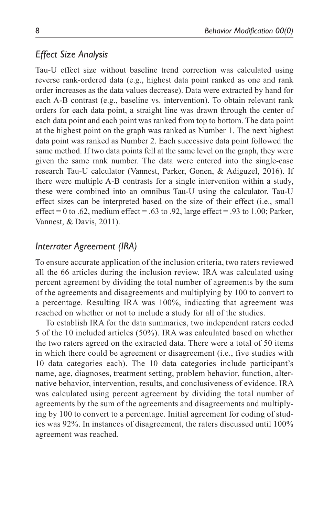#### *Effect Size Analysis*

Tau-U effect size without baseline trend correction was calculated using reverse rank-ordered data (e.g., highest data point ranked as one and rank order increases as the data values decrease). Data were extracted by hand for each A-B contrast (e.g., baseline vs. intervention). To obtain relevant rank orders for each data point, a straight line was drawn through the center of each data point and each point was ranked from top to bottom. The data point at the highest point on the graph was ranked as Number 1. The next highest data point was ranked as Number 2. Each successive data point followed the same method. If two data points fell at the same level on the graph, they were given the same rank number. The data were entered into the single-case research Tau-U calculator (Vannest, Parker, Gonen, & Adiguzel, 2016). If there were multiple A-B contrasts for a single intervention within a study, these were combined into an omnibus Tau-U using the calculator. Tau-U effect sizes can be interpreted based on the size of their effect (i.e., small effect = 0 to .62, medium effect = .63 to .92, large effect = .93 to 1.00; Parker, Vannest, & Davis, 2011).

#### *Interrater Agreement (IRA)*

To ensure accurate application of the inclusion criteria, two raters reviewed all the 66 articles during the inclusion review. IRA was calculated using percent agreement by dividing the total number of agreements by the sum of the agreements and disagreements and multiplying by 100 to convert to a percentage. Resulting IRA was 100%, indicating that agreement was reached on whether or not to include a study for all of the studies.

To establish IRA for the data summaries, two independent raters coded 5 of the 10 included articles (50%). IRA was calculated based on whether the two raters agreed on the extracted data. There were a total of 50 items in which there could be agreement or disagreement (i.e., five studies with 10 data categories each). The 10 data categories include participant's name, age, diagnoses, treatment setting, problem behavior, function, alternative behavior, intervention, results, and conclusiveness of evidence. IRA was calculated using percent agreement by dividing the total number of agreements by the sum of the agreements and disagreements and multiplying by 100 to convert to a percentage. Initial agreement for coding of studies was 92%. In instances of disagreement, the raters discussed until 100% agreement was reached.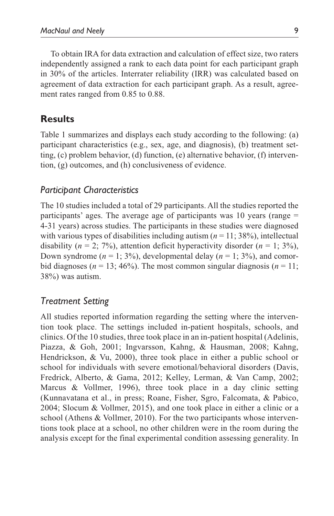To obtain IRA for data extraction and calculation of effect size, two raters independently assigned a rank to each data point for each participant graph in 30% of the articles. Interrater reliability (IRR) was calculated based on agreement of data extraction for each participant graph. As a result, agreement rates ranged from 0.85 to 0.88.

#### **Results**

Table 1 summarizes and displays each study according to the following: (a) participant characteristics (e.g., sex, age, and diagnosis), (b) treatment setting, (c) problem behavior, (d) function, (e) alternative behavior, (f) intervention, (g) outcomes, and (h) conclusiveness of evidence.

#### *Participant Characteristics*

The 10 studies included a total of 29 participants. All the studies reported the participants' ages. The average age of participants was 10 years (range = 4-31 years) across studies. The participants in these studies were diagnosed with various types of disabilities including autism  $(n = 11; 38\%)$ , intellectual disability  $(n = 2; 7\%)$ , attention deficit hyperactivity disorder  $(n = 1; 3\%)$ , Down syndrome  $(n = 1, 3\%)$ , developmental delay  $(n = 1, 3\%)$ , and comorbid diagnoses ( $n = 13$ ; 46%). The most common singular diagnosis ( $n = 11$ ; 38%) was autism.

#### *Treatment Setting*

All studies reported information regarding the setting where the intervention took place. The settings included in-patient hospitals, schools, and clinics. Of the 10 studies, three took place in an in-patient hospital (Adelinis, Piazza, & Goh, 2001; Ingvarsson, Kahng, & Hausman, 2008; Kahng, Hendrickson, & Vu, 2000), three took place in either a public school or school for individuals with severe emotional/behavioral disorders (Davis, Fredrick, Alberto, & Gama, 2012; Kelley, Lerman, & Van Camp, 2002; Marcus & Vollmer, 1996), three took place in a day clinic setting (Kunnavatana et al., in press; Roane, Fisher, Sgro, Falcomata, & Pabico, 2004; Slocum & Vollmer, 2015), and one took place in either a clinic or a school (Athens & Vollmer, 2010). For the two participants whose interventions took place at a school, no other children were in the room during the analysis except for the final experimental condition assessing generality. In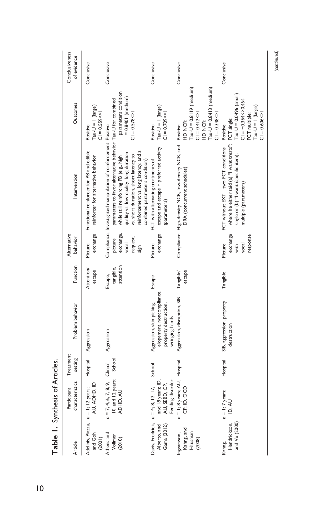| Conclusiveness<br>of evidence  | Conclusive                                                                     | Conclusive                                                                                                                                                                                                                                                                                                                            | Conclusive                                                                                        | Conclusive                                                                                                                 | Conclusive                                                                                                                                                     |
|--------------------------------|--------------------------------------------------------------------------------|---------------------------------------------------------------------------------------------------------------------------------------------------------------------------------------------------------------------------------------------------------------------------------------------------------------------------------------|---------------------------------------------------------------------------------------------------|----------------------------------------------------------------------------------------------------------------------------|----------------------------------------------------------------------------------------------------------------------------------------------------------------|
| Outcomes                       | $Tau-U = 1$ (large)<br>$Cl = 0.559 < 1$<br>Positive                            | parameters condition<br>$= 0.8401$ (medium)<br>$Cl = 0.578 < 1$                                                                                                                                                                                                                                                                       | $Tau-U = 1 (large)$<br>$Cl = 0.709 < 1$<br>Positive                                               | $Tau-U = 0.8119$ (medium)<br>$Tau-U = 0.8413$ (medium)<br>$Cl = 0.412 \text{ m}$<br>$Cl = 0.348 < 1$<br>HD NCR:<br>HD NCR: | $Tau-U = 0.0496$ (small)<br>$Cl = -0.364 < 0.464$<br>$Tau-U = 1 (large)$<br>$Cl = 0.606 < \geq 1$<br>FCT multiple:<br>Positive                                 |
| Intervention                   | Functional reinforcer for PB and edible<br>reinforcer for alternative behavior | parameters to favor alternative behavior Tau-U for combined<br>Compliance, Investigated manipulation of reinforcement Positive<br>reinforcement vs. long latency, and a<br>quality vs. low quality, long duration<br>vs. short duration, short latency to<br>while still reinforcing PB (e.g., high<br>combined parameters condition) | escape and escape + preferred activity<br>FCT with alternating treatments of<br>(parameters)      | Compliance High-density NCR, low-density NCR, and Positive<br>DRA (concurrent schedules)                                   | where he either said (a) "I want treats"; FCT single:<br>FCT without EXT-two FCT conditions<br>single or (b) "I want (specific item);<br>multiple (parameters) |
| Alternative<br>behavior        | exchange<br>Picture                                                            | exchange,<br>request,<br>picture<br>vocal<br>sign                                                                                                                                                                                                                                                                                     | exchange<br>Picture                                                                               |                                                                                                                            | exchange<br>response<br>Picture<br>vocal<br>with                                                                                                               |
| Function                       | Attention/<br>escape                                                           | attention<br>tangible,<br>Escape,                                                                                                                                                                                                                                                                                                     | Escape                                                                                            | Tangible/<br>escape                                                                                                        | Tangible                                                                                                                                                       |
| Problem behavior               | Hospital Aggression                                                            | Aggression                                                                                                                                                                                                                                                                                                                            | elopement, noncompliance,<br>Aggression, skin picking,<br>property destruction,<br>wringing hands | Aggression, disruption, SIB                                                                                                | SIB, aggression, property<br>destruction                                                                                                                       |
| Treatment<br>setting           |                                                                                | School                                                                                                                                                                                                                                                                                                                                | School                                                                                            |                                                                                                                            | Hospital                                                                                                                                                       |
| characteristics<br>Participant | AU, ADHD, ID<br>Adelinis, Piazza, $n = 1$ ; 12 years;                          | $n = 7; 4, 6, 7, 8, 9,$ Clinic/<br>10, and 12 years;<br>ADHD, AU                                                                                                                                                                                                                                                                      | and 18 years; ID,<br>Feeding disorder<br>AU, SEBD, CP,<br>Davis, Fredrick, $n = 4, 8, 12, 17,$    | n = 1; 8 years; AU, Hospital<br>CP, ID, OCD                                                                                | $n = 1$ ; 7 years;<br>ID, AU                                                                                                                                   |
| Article                        | and Goh<br>(2001)                                                              | Athens and<br>Vollmer<br>(2010)                                                                                                                                                                                                                                                                                                       | Gama (2012)<br>Alberto, and                                                                       | Kahng, and<br>Hausman<br>Ingvarsson,<br>(2008)                                                                             | Hendrickson,<br>and Vu (2000)<br>Kahng,                                                                                                                        |

*(continued)*

Table 1. Synthesis of Articles. **Table 1.** Synthesis of Articles.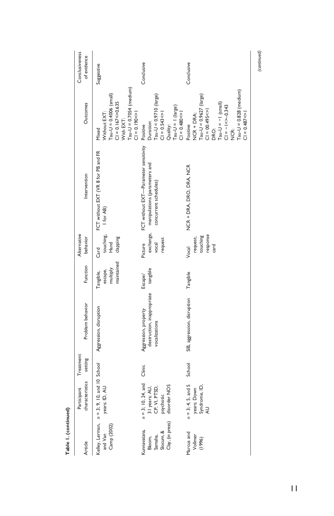| Alternative<br>Treatment<br>Participant                                                                                                                                                                                                  |  |  |                                                                                                          |                                                                                                                                                                                                      | Conclusiveness |
|------------------------------------------------------------------------------------------------------------------------------------------------------------------------------------------------------------------------------------------|--|--|----------------------------------------------------------------------------------------------------------|------------------------------------------------------------------------------------------------------------------------------------------------------------------------------------------------------|----------------|
| behavior<br>Function<br>Problem behavior<br>setting<br>characteristics                                                                                                                                                                   |  |  | Intervention                                                                                             | Outcomes                                                                                                                                                                                             | of evidence    |
| touching, I for AB)<br>clapping<br>Hand<br>Card<br>maintained<br>multiply<br>escape,<br>Tangible,<br>Aggression, disruption<br>Kelley, Lerman, $n = 3$ ; 9, 10, and 10 School<br>years; ID, AU                                           |  |  | FCT without EXT (VR 8 for PB and FR                                                                      | $Tau-U = 0.7054$ (medium)<br>$[au-U = 0.4006 \text{ (small)}]$<br>$CI = 0.167 < 0.635$<br>Without EXT:<br>$Cl = 0.190 < 1$<br>With EXT:<br>Mixed                                                     | Suggestive     |
| exchange,<br>request<br>Picture<br>vocal<br>tangible<br>Escape/<br>destruction, inappropriate<br>Aggression, property<br>vocalizations<br>Clinic<br>$n = 3$ ; 10, 24, and<br>disorder NOS<br>CP, VI, PTSD,<br>31 years; AU,<br>psychotic |  |  | FCT without EXT-Parameter sensitivity Positive<br>manipulations (parameters and<br>concurrent schedules) | $Tau-U = 0.9710 (large)$<br>$Tau-U = 1 (large)$<br>$Cl = 0.480 < > 1$<br>$Cl = 0.543 < l$<br>Duration:<br>Quality:                                                                                   | Conclusive     |
| response<br>touching<br>request,<br>Vocal<br>card<br>Tangible<br>SIB, aggression, disruption<br>School<br>$n = 3; 4, 5, and 5$<br>Syndrome, ID,<br>years; Down                                                                           |  |  | NCR + DRA, DRO, DRA, NCR                                                                                 | $Tau-U = 0.828$ (medium)<br>$Tau-U = 0.9627 (large)$<br>$Tau-U = -1$ (small)<br>$Cl = -1 < -0.343$<br>$Cl = 00.495 < \geq$<br>$Cl = 0.487 < \infty$<br>NCR + DRA:<br>Positive<br>DRO:<br><b>NCR:</b> | Conclusive     |

Table I. (continued) **Table 1. (continued)**

*(continued)*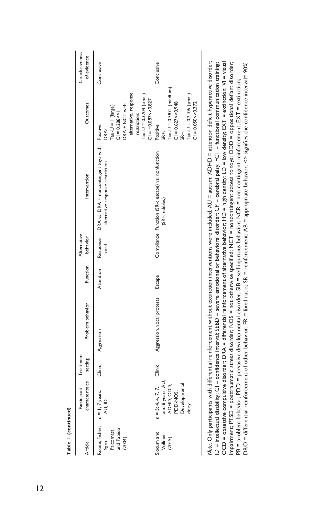| Article                                    | Participant Treatment<br>characteristics                                                            | setting | Problem behavior           | Function  | Alternative<br>behavior | Intervention                                                                                | Outcomes                                                                                                                                                        | Conclusiveness<br>of evidence |
|--------------------------------------------|-----------------------------------------------------------------------------------------------------|---------|----------------------------|-----------|-------------------------|---------------------------------------------------------------------------------------------|-----------------------------------------------------------------------------------------------------------------------------------------------------------------|-------------------------------|
| and Pabico<br>Falcomata<br>(2004)<br>Sgro, | Roane, Fisher, $n = 1$ ; 7 years;<br>AU, ID                                                         | Clinic  | Aggression                 | Attention | card                    | Response DRA vs. DRA + noncontingent toys with Positive<br>alternative response restriction | alternative. response<br>$Tau-U = 0.3704$ (small)<br>$Cl = -0.087 < 0.827$<br>DRA + NCT with<br>$Tau-U = 1$ (large)<br>$Cl = 0.288 < l$<br>restriction:<br>DRA: | Conclusive                    |
| Slocum and<br>Vollmer<br>(2015)            | $n = 5; 4, 4, 7, 7,$ Clinic<br>and 8 years; AU,<br>Developmental<br>ADHD, ODD,<br>PDD-NOS,<br>delay |         | Aggression, vocal protests | Escape    |                         | Compliance Function (SR-; escape) vs. nonfunction<br>(SR+; edibles)                         | $Tau-U = 0.7871$ (medium)<br>$Tau-U = 0.2106$ (small)<br>$Cl = 0.627 < 0.948$<br>$Cl = 0.050 \Leftrightarrow 0.372$<br>Positive<br>$SR-$<br>SR+:                | Conclusive                    |
|                                            |                                                                                                     |         |                            |           |                         |                                                                                             |                                                                                                                                                                 |                               |

*Note.* Only participants with differential reinforcement without extinction interventions were included. AU = autism; ADHD = attention deficit hyperactive disorder; attention deficit hyperactive disorder; OCD = obsessive compulsive disorder; DRA = differential reinforcement of alternative behavior; HD = high density; LD = low density; EXT = extinction; VI = visual OCD = obsessive compulsive disorder; DRA = differential reinforcement of alternative behavior; HD = high density; LD = low density; EXT = extinction; VI = visual impairment PTSD = postraumatic stress disorder; NOS = not otherwise specified; NCT = noncontingent access to toys; ODD = oppositional defiant disorder; impairment; PTSD = posttraumatic stress disorder; NOS = not otherwise specified; NCT = noncontingent access to toys; ODD = oppositional defiant disorder; ID = intellectual disability; CI = confidence interval; SEBD = severe emotional or behavioral disorder; CP = cerebral palsy; FCT = functional communication training; ID = intellectual disability; CI = confidence interval; SEBD = severe emotional or behavioral disorder; CP = cerebral palsy; FCT = functional communication training; DRO = differential reinforcement of other behavior; FR = fixed ratio; SR = reinforcement; AB = appropriate behavior. <> signifies the confidence interval= 90%. DRO = differential reinforcement of other behavior; FR = fixed ratio; SR = reinforcement; AB = appropriate behavior. <> signifies the confidence interval= 90%. PB = problem behavior: PDD = pervasive developmental disorder; SIB = self-injurious behavior; NCR = non-contingent reinforcement; EXT = extinction; PB = problem behavior; PDD = pervasive developmental disorder; SIB = self-injurious behavior; NCR = non-contingent reinforcement; EXT = extinction; Note. Only participants with differential reinforment without extincts retrieve received and reference authorism. ADHD

# Table I. (continued) **Table 1. (continued)**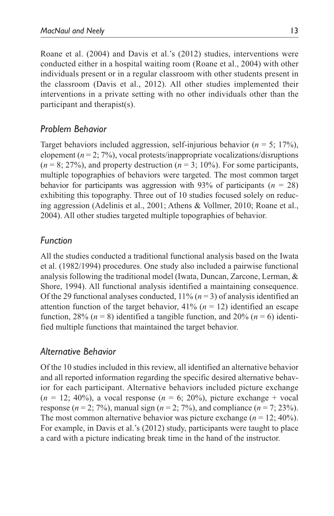Roane et al. (2004) and Davis et al.'s (2012) studies, interventions were conducted either in a hospital waiting room (Roane et al., 2004) with other individuals present or in a regular classroom with other students present in the classroom (Davis et al., 2012). All other studies implemented their interventions in a private setting with no other individuals other than the participant and therapist(s).

### *Problem Behavior*

Target behaviors included aggression, self-injurious behavior (*n* = 5; 17%), elopement  $(n = 2, 7\%)$ , vocal protests/inappropriate vocalizations/disruptions  $(n = 8; 27%)$ , and property destruction  $(n = 3; 10%)$ . For some participants, multiple topographies of behaviors were targeted. The most common target behavior for participants was aggression with  $93\%$  of participants ( $n = 28$ ) exhibiting this topography. Three out of 10 studies focused solely on reducing aggression (Adelinis et al., 2001; Athens & Vollmer, 2010; Roane et al., 2004). All other studies targeted multiple topographies of behavior.

#### *Function*

All the studies conducted a traditional functional analysis based on the Iwata et al. (1982/1994) procedures. One study also included a pairwise functional analysis following the traditional model (Iwata, Duncan, Zarcone, Lerman, & Shore, 1994). All functional analysis identified a maintaining consequence. Of the 29 functional analyses conducted,  $11\%$  ( $n = 3$ ) of analysis identified an attention function of the target behavior,  $41\%$  ( $n = 12$ ) identified an escape function,  $28\%$  ( $n = 8$ ) identified a tangible function, and  $20\%$  ( $n = 6$ ) identified multiple functions that maintained the target behavior.

#### *Alternative Behavior*

Of the 10 studies included in this review, all identified an alternative behavior and all reported information regarding the specific desired alternative behavior for each participant. Alternative behaviors included picture exchange  $(n = 12; 40\%)$ , a vocal response  $(n = 6; 20\%)$ , picture exchange + vocal response  $(n = 2; 7\%)$ , manual sign  $(n = 2; 7\%)$ , and compliance  $(n = 7; 23\%)$ . The most common alternative behavior was picture exchange  $(n = 12, 40\%)$ . For example, in Davis et al.'s (2012) study, participants were taught to place a card with a picture indicating break time in the hand of the instructor.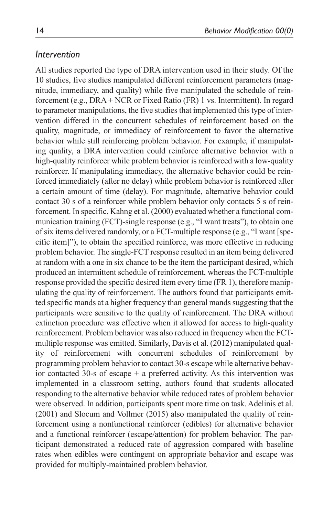#### *Intervention*

All studies reported the type of DRA intervention used in their study. Of the 10 studies, five studies manipulated different reinforcement parameters (magnitude, immediacy, and quality) while five manipulated the schedule of reinforcement (e.g., DRA + NCR or Fixed Ratio (FR) 1 vs. Intermittent). In regard to parameter manipulations, the five studies that implemented this type of intervention differed in the concurrent schedules of reinforcement based on the quality, magnitude, or immediacy of reinforcement to favor the alternative behavior while still reinforcing problem behavior. For example, if manipulating quality, a DRA intervention could reinforce alternative behavior with a high-quality reinforcer while problem behavior is reinforced with a low-quality reinforcer. If manipulating immediacy, the alternative behavior could be reinforced immediately (after no delay) while problem behavior is reinforced after a certain amount of time (delay). For magnitude, alternative behavior could contact 30 s of a reinforcer while problem behavior only contacts 5 s of reinforcement. In specific, Kahng et al. (2000) evaluated whether a functional communication training (FCT)-single response (e.g., "I want treats"), to obtain one of six items delivered randomly, or a FCT-multiple response (e.g., "I want [specific item]"), to obtain the specified reinforce, was more effective in reducing problem behavior. The single-FCT response resulted in an item being delivered at random with a one in six chance to be the item the participant desired, which produced an intermittent schedule of reinforcement, whereas the FCT-multiple response provided the specific desired item every time (FR 1), therefore manipulating the quality of reinforcement. The authors found that participants emitted specific mands at a higher frequency than general mands suggesting that the participants were sensitive to the quality of reinforcement. The DRA without extinction procedure was effective when it allowed for access to high-quality reinforcement. Problem behavior was also reduced in frequency when the FCTmultiple response was emitted. Similarly, Davis et al. (2012) manipulated quality of reinforcement with concurrent schedules of reinforcement by programming problem behavior to contact 30-s escape while alternative behavior contacted 30-s of escape + a preferred activity. As this intervention was implemented in a classroom setting, authors found that students allocated responding to the alternative behavior while reduced rates of problem behavior were observed. In addition, participants spent more time on task. Adelinis et al. (2001) and Slocum and Vollmer (2015) also manipulated the quality of reinforcement using a nonfunctional reinforcer (edibles) for alternative behavior and a functional reinforcer (escape/attention) for problem behavior. The participant demonstrated a reduced rate of aggression compared with baseline rates when edibles were contingent on appropriate behavior and escape was provided for multiply-maintained problem behavior.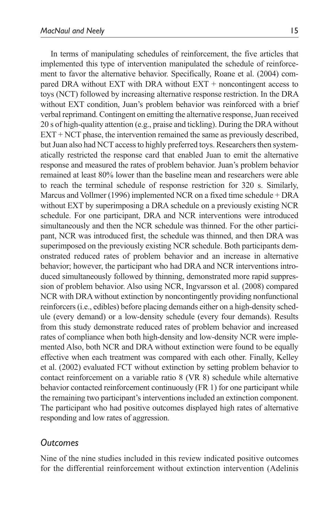In terms of manipulating schedules of reinforcement, the five articles that implemented this type of intervention manipulated the schedule of reinforcement to favor the alternative behavior. Specifically, Roane et al. (2004) compared DRA without EXT with DRA without  $EXT +$  noncontingent access to toys (NCT) followed by increasing alternative response restriction. In the DRA without EXT condition, Juan's problem behavior was reinforced with a brief verbal reprimand. Contingent on emitting the alternative response, Juan received 20 s of high-quality attention (e.g., praise and tickling). During the DRA without EXT + NCT phase, the intervention remained the same as previously described, but Juan also had NCT access to highly preferred toys. Researchers then systematically restricted the response card that enabled Juan to emit the alternative response and measured the rates of problem behavior. Juan's problem behavior remained at least 80% lower than the baseline mean and researchers were able to reach the terminal schedule of response restriction for 320 s. Similarly, Marcus and Vollmer (1996) implemented NCR on a fixed time schedule + DRA without EXT by superimposing a DRA schedule on a previously existing NCR schedule. For one participant, DRA and NCR interventions were introduced simultaneously and then the NCR schedule was thinned. For the other participant, NCR was introduced first, the schedule was thinned, and then DRA was superimposed on the previously existing NCR schedule. Both participants demonstrated reduced rates of problem behavior and an increase in alternative behavior; however, the participant who had DRA and NCR interventions introduced simultaneously followed by thinning, demonstrated more rapid suppression of problem behavior. Also using NCR, Ingvarsson et al. (2008) compared NCR with DRA without extinction by noncontingently providing nonfunctional reinforcers (i.e., edibles) before placing demands either on a high-density schedule (every demand) or a low-density schedule (every four demands). Results from this study demonstrate reduced rates of problem behavior and increased rates of compliance when both high-density and low-density NCR were implemented Also, both NCR and DRA without extinction were found to be equally effective when each treatment was compared with each other. Finally, Kelley et al. (2002) evaluated FCT without extinction by setting problem behavior to contact reinforcement on a variable ratio 8 (VR 8) schedule while alternative behavior contacted reinforcement continuously (FR 1) for one participant while the remaining two participant's interventions included an extinction component. The participant who had positive outcomes displayed high rates of alternative responding and low rates of aggression.

#### *Outcomes*

Nine of the nine studies included in this review indicated positive outcomes for the differential reinforcement without extinction intervention (Adelinis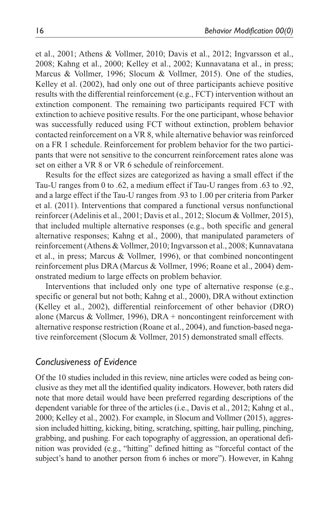et al., 2001; Athens & Vollmer, 2010; Davis et al., 2012; Ingvarsson et al., 2008; Kahng et al., 2000; Kelley et al., 2002; Kunnavatana et al., in press; Marcus & Vollmer, 1996; Slocum & Vollmer, 2015). One of the studies, Kelley et al. (2002), had only one out of three participants achieve positive results with the differential reinforcement (e.g., FCT) intervention without an extinction component. The remaining two participants required FCT with extinction to achieve positive results. For the one participant, whose behavior was successfully reduced using FCT without extinction, problem behavior contacted reinforcement on a VR 8, while alternative behavior was reinforced on a FR 1 schedule. Reinforcement for problem behavior for the two participants that were not sensitive to the concurrent reinforcement rates alone was set on either a VR 8 or VR 6 schedule of reinforcement.

Results for the effect sizes are categorized as having a small effect if the Tau-U ranges from 0 to .62, a medium effect if Tau-U ranges from .63 to .92, and a large effect if the Tau-U ranges from .93 to 1.00 per criteria from Parker et al. (2011). Interventions that compared a functional versus nonfunctional reinforcer (Adelinis et al., 2001; Davis et al., 2012; Slocum & Vollmer, 2015), that included multiple alternative responses (e.g., both specific and general alternative responses; Kahng et al., 2000), that manipulated parameters of reinforcement (Athens & Vollmer, 2010; Ingvarsson et al., 2008; Kunnavatana et al., in press; Marcus & Vollmer, 1996), or that combined noncontingent reinforcement plus DRA (Marcus & Vollmer, 1996; Roane et al., 2004) demonstrated medium to large effects on problem behavior.

Interventions that included only one type of alternative response (e.g., specific or general but not both; Kahng et al., 2000), DRA without extinction (Kelley et al., 2002), differential reinforcement of other behavior (DRO) alone (Marcus & Vollmer, 1996), DRA + noncontingent reinforcement with alternative response restriction (Roane et al., 2004), and function-based negative reinforcement (Slocum & Vollmer, 2015) demonstrated small effects.

#### *Conclusiveness of Evidence*

Of the 10 studies included in this review, nine articles were coded as being conclusive as they met all the identified quality indicators. However, both raters did note that more detail would have been preferred regarding descriptions of the dependent variable for three of the articles (i.e., Davis et al., 2012; Kahng et al., 2000; Kelley et al., 2002). For example, in Slocum and Vollmer (2015), aggression included hitting, kicking, biting, scratching, spitting, hair pulling, pinching, grabbing, and pushing. For each topography of aggression, an operational definition was provided (e.g., "hitting" defined hitting as "forceful contact of the subject's hand to another person from 6 inches or more"). However, in Kahng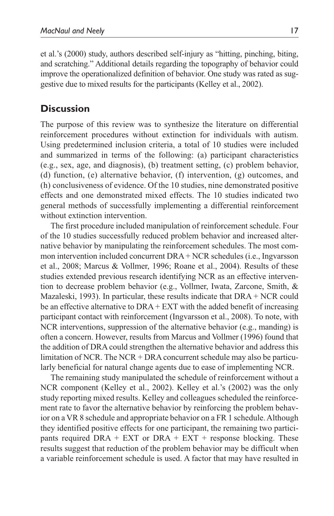et al.'s (2000) study, authors described self-injury as "hitting, pinching, biting, and scratching." Additional details regarding the topography of behavior could improve the operationalized definition of behavior. One study was rated as suggestive due to mixed results for the participants (Kelley et al., 2002).

#### **Discussion**

The purpose of this review was to synthesize the literature on differential reinforcement procedures without extinction for individuals with autism. Using predetermined inclusion criteria, a total of 10 studies were included and summarized in terms of the following: (a) participant characteristics (e.g., sex, age, and diagnosis), (b) treatment setting, (c) problem behavior, (d) function, (e) alternative behavior, (f) intervention, (g) outcomes, and (h) conclusiveness of evidence. Of the 10 studies, nine demonstrated positive effects and one demonstrated mixed effects. The 10 studies indicated two general methods of successfully implementing a differential reinforcement without extinction intervention.

The first procedure included manipulation of reinforcement schedule. Four of the 10 studies successfully reduced problem behavior and increased alternative behavior by manipulating the reinforcement schedules. The most common intervention included concurrent DRA + NCR schedules (i.e., Ingvarsson et al., 2008; Marcus & Vollmer, 1996; Roane et al., 2004). Results of these studies extended previous research identifying NCR as an effective intervention to decrease problem behavior (e.g., Vollmer, Iwata, Zarcone, Smith, & Mazaleski, 1993). In particular, these results indicate that DRA + NCR could be an effective alternative to  $DRA + EXT$  with the added benefit of increasing participant contact with reinforcement (Ingvarsson et al., 2008). To note, with NCR interventions, suppression of the alternative behavior (e.g., manding) is often a concern. However, results from Marcus and Vollmer (1996) found that the addition of DRA could strengthen the alternative behavior and address this limitation of NCR. The NCR + DRA concurrent schedule may also be particularly beneficial for natural change agents due to ease of implementing NCR.

The remaining study manipulated the schedule of reinforcement without a NCR component (Kelley et al., 2002). Kelley et al.'s (2002) was the only study reporting mixed results. Kelley and colleagues scheduled the reinforcement rate to favor the alternative behavior by reinforcing the problem behavior on a VR 8 schedule and appropriate behavior on a FR 1 schedule. Although they identified positive effects for one participant, the remaining two participants required DRA + EXT or DRA + EXT + response blocking. These results suggest that reduction of the problem behavior may be difficult when a variable reinforcement schedule is used. A factor that may have resulted in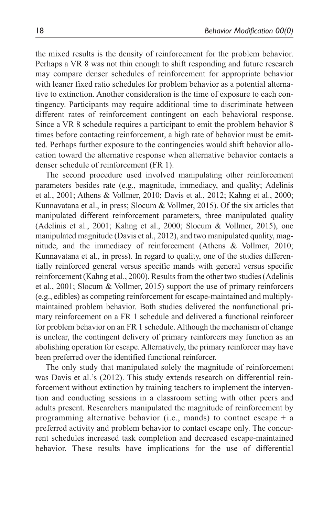the mixed results is the density of reinforcement for the problem behavior. Perhaps a VR 8 was not thin enough to shift responding and future research may compare denser schedules of reinforcement for appropriate behavior with leaner fixed ratio schedules for problem behavior as a potential alternative to extinction. Another consideration is the time of exposure to each contingency. Participants may require additional time to discriminate between different rates of reinforcement contingent on each behavioral response. Since a VR 8 schedule requires a participant to emit the problem behavior 8 times before contacting reinforcement, a high rate of behavior must be emitted. Perhaps further exposure to the contingencies would shift behavior allocation toward the alternative response when alternative behavior contacts a denser schedule of reinforcement (FR 1).

The second procedure used involved manipulating other reinforcement parameters besides rate (e.g., magnitude, immediacy, and quality; Adelinis et al., 2001; Athens & Vollmer, 2010; Davis et al., 2012; Kahng et al., 2000; Kunnavatana et al., in press; Slocum & Vollmer, 2015). Of the six articles that manipulated different reinforcement parameters, three manipulated quality (Adelinis et al., 2001; Kahng et al., 2000; Slocum & Vollmer, 2015), one manipulated magnitude (Davis et al., 2012), and two manipulated quality, magnitude, and the immediacy of reinforcement (Athens & Vollmer, 2010; Kunnavatana et al., in press). In regard to quality, one of the studies differentially reinforced general versus specific mands with general versus specific reinforcement (Kahng et al., 2000). Results from the other two studies (Adelinis et al., 2001; Slocum & Vollmer, 2015) support the use of primary reinforcers (e.g., edibles) as competing reinforcement for escape-maintained and multiplymaintained problem behavior. Both studies delivered the nonfunctional primary reinforcement on a FR 1 schedule and delivered a functional reinforcer for problem behavior on an FR 1 schedule. Although the mechanism of change is unclear, the contingent delivery of primary reinforcers may function as an abolishing operation for escape. Alternatively, the primary reinforcer may have been preferred over the identified functional reinforcer.

The only study that manipulated solely the magnitude of reinforcement was Davis et al.'s (2012). This study extends research on differential reinforcement without extinction by training teachers to implement the intervention and conducting sessions in a classroom setting with other peers and adults present. Researchers manipulated the magnitude of reinforcement by programming alternative behavior (i.e., mands) to contact escape  $+$  a preferred activity and problem behavior to contact escape only. The concurrent schedules increased task completion and decreased escape-maintained behavior. These results have implications for the use of differential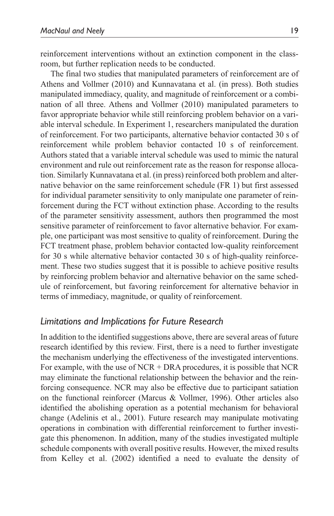reinforcement interventions without an extinction component in the classroom, but further replication needs to be conducted.

The final two studies that manipulated parameters of reinforcement are of Athens and Vollmer (2010) and Kunnavatana et al. (in press). Both studies manipulated immediacy, quality, and magnitude of reinforcement or a combination of all three. Athens and Vollmer (2010) manipulated parameters to favor appropriate behavior while still reinforcing problem behavior on a variable interval schedule. In Experiment 1, researchers manipulated the duration of reinforcement. For two participants, alternative behavior contacted 30 s of reinforcement while problem behavior contacted 10 s of reinforcement. Authors stated that a variable interval schedule was used to mimic the natural environment and rule out reinforcement rate as the reason for response allocation. Similarly Kunnavatana et al. (in press) reinforced both problem and alternative behavior on the same reinforcement schedule (FR 1) but first assessed for individual parameter sensitivity to only manipulate one parameter of reinforcement during the FCT without extinction phase. According to the results of the parameter sensitivity assessment, authors then programmed the most sensitive parameter of reinforcement to favor alternative behavior. For example, one participant was most sensitive to quality of reinforcement. During the FCT treatment phase, problem behavior contacted low-quality reinforcement for 30 s while alternative behavior contacted 30 s of high-quality reinforcement. These two studies suggest that it is possible to achieve positive results by reinforcing problem behavior and alternative behavior on the same schedule of reinforcement, but favoring reinforcement for alternative behavior in terms of immediacy, magnitude, or quality of reinforcement.

#### *Limitations and Implications for Future Research*

In addition to the identified suggestions above, there are several areas of future research identified by this review. First, there is a need to further investigate the mechanism underlying the effectiveness of the investigated interventions. For example, with the use of NCR + DRA procedures, it is possible that NCR may eliminate the functional relationship between the behavior and the reinforcing consequence. NCR may also be effective due to participant satiation on the functional reinforcer (Marcus & Vollmer, 1996). Other articles also identified the abolishing operation as a potential mechanism for behavioral change (Adelinis et al., 2001). Future research may manipulate motivating operations in combination with differential reinforcement to further investigate this phenomenon. In addition, many of the studies investigated multiple schedule components with overall positive results. However, the mixed results from Kelley et al. (2002) identified a need to evaluate the density of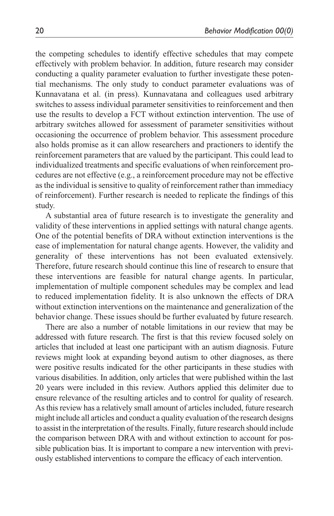the competing schedules to identify effective schedules that may compete effectively with problem behavior. In addition, future research may consider conducting a quality parameter evaluation to further investigate these potential mechanisms. The only study to conduct parameter evaluations was of Kunnavatana et al. (in press). Kunnavatana and colleagues used arbitrary switches to assess individual parameter sensitivities to reinforcement and then use the results to develop a FCT without extinction intervention. The use of arbitrary switches allowed for assessment of parameter sensitivities without occasioning the occurrence of problem behavior. This assessment procedure also holds promise as it can allow researchers and practioners to identify the reinforcement parameters that are valued by the participant. This could lead to individualized treatments and specific evaluations of when reinforcement procedures are not effective (e.g., a reinforcement procedure may not be effective as the individual is sensitive to quality of reinforcement rather than immediacy of reinforcement). Further research is needed to replicate the findings of this study.

A substantial area of future research is to investigate the generality and validity of these interventions in applied settings with natural change agents. One of the potential benefits of DRA without extinction interventions is the ease of implementation for natural change agents. However, the validity and generality of these interventions has not been evaluated extensively. Therefore, future research should continue this line of research to ensure that these interventions are feasible for natural change agents. In particular, implementation of multiple component schedules may be complex and lead to reduced implementation fidelity. It is also unknown the effects of DRA without extinction interventions on the maintenance and generalization of the behavior change. These issues should be further evaluated by future research.

There are also a number of notable limitations in our review that may be addressed with future research. The first is that this review focused solely on articles that included at least one participant with an autism diagnosis. Future reviews might look at expanding beyond autism to other diagnoses, as there were positive results indicated for the other participants in these studies with various disabilities. In addition, only articles that were published within the last 20 years were included in this review. Authors applied this delimiter due to ensure relevance of the resulting articles and to control for quality of research. As this review has a relatively small amount of articles included, future research might include all articles and conduct a quality evaluation of the research designs to assist in the interpretation of the results. Finally, future research should include the comparison between DRA with and without extinction to account for possible publication bias. It is important to compare a new intervention with previously established interventions to compare the efficacy of each intervention.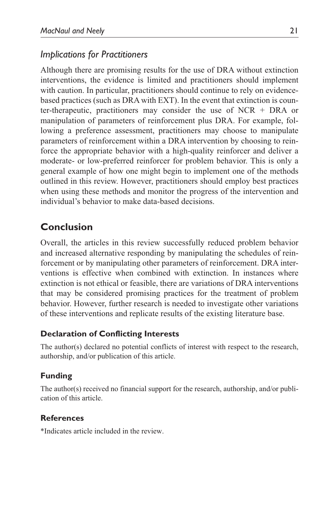#### *Implications for Practitioners*

Although there are promising results for the use of DRA without extinction interventions, the evidence is limited and practitioners should implement with caution. In particular, practitioners should continue to rely on evidencebased practices (such as DRA with EXT). In the event that extinction is counter-therapeutic, practitioners may consider the use of NCR + DRA or manipulation of parameters of reinforcement plus DRA. For example, following a preference assessment, practitioners may choose to manipulate parameters of reinforcement within a DRA intervention by choosing to reinforce the appropriate behavior with a high-quality reinforcer and deliver a moderate- or low-preferred reinforcer for problem behavior. This is only a general example of how one might begin to implement one of the methods outlined in this review. However, practitioners should employ best practices when using these methods and monitor the progress of the intervention and individual's behavior to make data-based decisions.

# **Conclusion**

Overall, the articles in this review successfully reduced problem behavior and increased alternative responding by manipulating the schedules of reinforcement or by manipulating other parameters of reinforcement. DRA interventions is effective when combined with extinction. In instances where extinction is not ethical or feasible, there are variations of DRA interventions that may be considered promising practices for the treatment of problem behavior. However, further research is needed to investigate other variations of these interventions and replicate results of the existing literature base.

#### **Declaration of Conflicting Interests**

The author(s) declared no potential conflicts of interest with respect to the research, authorship, and/or publication of this article.

#### **Funding**

The author(s) received no financial support for the research, authorship, and/or publication of this article.

#### **References**

\*Indicates article included in the review.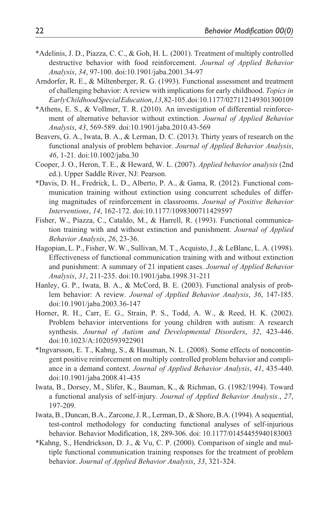- \*Adelinis, J. D., Piazza, C. C., & Goh, H. L. (2001). Treatment of multiply controlled destructive behavior with food reinforcement. *Journal of Applied Behavior Analysis*, *34*, 97-100. doi:10.1901/jaba.2001.34-97
- Arndorfer, R. E., & Miltenberger, R. G. (1993). Functional assessment and treatment of challenging behavior: A review with implications for early childhood. *Topics in Early Childhood Special Education*, *13*, 82-105. doi:10.1177/027112149301300109
- \*Athens, E. S., & Vollmer, T. R. (2010). An investigation of differential reinforcement of alternative behavior without extinction. *Journal of Applied Behavior Analysis*, *43*, 569-589. doi:10.1901/jaba.2010.43-569
- Beavers, G. A., Iwata, B. A., & Lerman, D. C. (2013). Thirty years of research on the functional analysis of problem behavior. *Journal of Applied Behavior Analysis*, *46*, 1-21. doi:10.1002/jaba.30
- Cooper, J. O., Heron, T. E., & Heward, W. L. (2007). *Applied behavior analysis* (2nd ed.). Upper Saddle River, NJ: Pearson.
- \*Davis, D. H., Fredrick, L. D., Alberto, P. A., & Gama, R. (2012). Functional communication training without extinction using concurrent schedules of differing magnitudes of reinforcement in classrooms. *Journal of Positive Behavior Interventions*, *14*, 162-172. doi:10.1177/1098300711429597
- Fisher, W., Piazza, C., Cataldo, M., & Harrell, R. (1993). Functional communication training with and without extinction and punishment. *Journal of Applied Behavior Analysis*, *26*, 23-36.
- Hagopian, L. P., Fisher, W. W., Sullivan, M. T., Acquisto, J., & LeBlanc, L. A. (1998). Effectiveness of functional communication training with and without extinction and punishment: A summary of 21 inpatient cases. *Journal of Applied Behavior Analysis*, *31*, 211-235. doi:10.1901/jaba.1998.31-211
- Hanley, G. P., Iwata, B. A., & McCord, B. E. (2003). Functional analysis of problem behavior: A review. *Journal of Applied Behavior Analysis*, *36*, 147-185. doi:10.1901/jaba.2003.36-147
- Horner, R. H., Carr, E. G., Strain, P. S., Todd, A. W., & Reed, H. K. (2002). Problem behavior interventions for young children with autism: A research synthesis. *Journal of Autism and Developmental Disorders*, *32*, 423-446. doi:10.1023/A:1020593922901
- \*Ingvarsson, E. T., Kahng, S., & Hausman, N. L. (2008). Some effects of noncontingent positive reinforcement on multiply controlled problem behavior and compliance in a demand context. *Journal of Applied Behavior Analysis*, *41*, 435-440. doi:10.1901/jaba.2008.41-435
- Iwata, B., Dorsey, M., Slifer, K., Bauman, K., & Richman, G. (1982/1994). Toward a functional analysis of self-injury. *Journal of Applied Behavior Analysis.*, *27*, 197-209.
- Iwata, B., Duncan, B.A., Zarcone, J. R., Lerman, D., & Shore, B.A. (1994). A sequential, test-control methodology for conducting functional analyses of self-injurious behavior. Behavior Modification, 18, 289-306. doi: 10.1177/01454455940183003
- \*Kahng, S., Hendrickson, D. J., & Vu, C. P. (2000). Comparison of single and multiple functional communication training responses for the treatment of problem behavior. *Journal of Applied Behavior Analysis*, *33*, 321-324.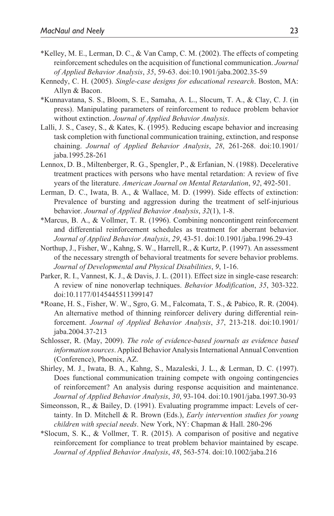- \*Kelley, M. E., Lerman, D. C., & Van Camp, C. M. (2002). The effects of competing reinforcement schedules on the acquisition of functional communication. *Journal of Applied Behavior Analysis*, *35*, 59-63. doi:10.1901/jaba.2002.35-59
- Kennedy, C. H. (2005). *Single-case designs for educational research*. Boston, MA: Allyn & Bacon.
- \*Kunnavatana, S. S., Bloom, S. E., Samaha, A. L., Slocum, T. A., & Clay, C. J. (in press). Manipulating parameters of reinforcement to reduce problem behavior without extinction. *Journal of Applied Behavior Analysis*.
- Lalli, J. S., Casey, S., & Kates, K. (1995). Reducing escape behavior and increasing task completion with functional communication training, extinction, and response chaining. *Journal of Applied Behavior Analysis*, *28*, 261-268. doi:10.1901/ jaba.1995.28-261
- Lennox, D. B., Miltenberger, R. G., Spengler, P., & Erfanian, N. (1988). Decelerative treatment practices with persons who have mental retardation: A review of five years of the literature. *American Journal on Mental Retardation*, *92*, 492-501.
- Lerman, D. C., Iwata, B. A., & Wallace, M. D. (1999). Side effects of extinction: Prevalence of bursting and aggression during the treatment of self-injurious behavior. *Journal of Applied Behavior Analysis*, *32*(1), 1-8.
- \*Marcus, B. A., & Vollmer, T. R. (1996). Combining noncontingent reinforcement and differential reinforcement schedules as treatment for aberrant behavior. *Journal of Applied Behavior Analysis*, *29*, 43-51. doi:10.1901/jaba.1996.29-43
- Northup, J., Fisher, W., Kahng, S. W., Harrell, R., & Kurtz, P. (1997). An assessment of the necessary strength of behavioral treatments for severe behavior problems. *Journal of Developmental and Physical Disabilities*, *9*, 1-16.
- Parker, R. I., Vannest, K. J., & Davis, J. L. (2011). Effect size in single-case research: A review of nine nonoverlap techniques. *Behavior Modification*, *35*, 303-322. doi:10.1177/0145445511399147
- \*Roane, H. S., Fisher, W. W., Sgro, G. M., Falcomata, T. S., & Pabico, R. R. (2004). An alternative method of thinning reinforcer delivery during differential reinforcement. *Journal of Applied Behavior Analysis*, *37*, 213-218. doi:10.1901/ jaba.2004.37-213
- Schlosser, R. (May, 2009). *The role of evidence-based journals as evidence based information sources*. Applied Behavior Analysis International Annual Convention (Conference), Phoenix, AZ.
- Shirley, M. J., Iwata, B. A., Kahng, S., Mazaleski, J. L., & Lerman, D. C. (1997). Does functional communication training compete with ongoing contingencies of reinforcement? An analysis during response acquisition and maintenance. *Journal of Applied Behavior Analysis*, *30*, 93-104. doi:10.1901/jaba.1997.30-93
- Simeonsson, R., & Bailey, D. (1991). Evaluating programme impact: Levels of certainty. In D. Mitchell & R. Brown (Eds.), *Early intervention studies for young children with special needs*. New York, NY: Chapman & Hall. 280-296
- \*Slocum, S. K., & Vollmer, T. R. (2015). A comparison of positive and negative reinforcement for compliance to treat problem behavior maintained by escape. *Journal of Applied Behavior Analysis*, *48*, 563-574. doi:10.1002/jaba.216